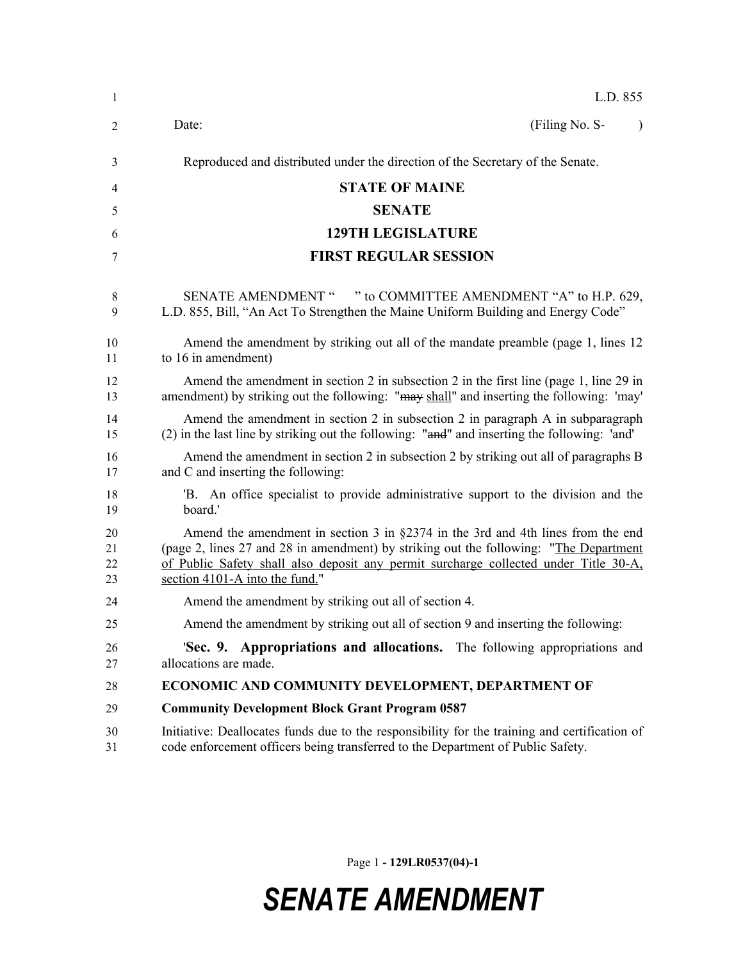| $\mathbf{1}$         | L.D. 855                                                                                                                                                                                                                                                                                               |  |  |  |
|----------------------|--------------------------------------------------------------------------------------------------------------------------------------------------------------------------------------------------------------------------------------------------------------------------------------------------------|--|--|--|
| $\overline{2}$       | (Filing No. S-<br>Date:<br>$\lambda$                                                                                                                                                                                                                                                                   |  |  |  |
| 3                    | Reproduced and distributed under the direction of the Secretary of the Senate.                                                                                                                                                                                                                         |  |  |  |
| 4                    | <b>STATE OF MAINE</b>                                                                                                                                                                                                                                                                                  |  |  |  |
| 5                    | <b>SENATE</b>                                                                                                                                                                                                                                                                                          |  |  |  |
| 6                    | <b>129TH LEGISLATURE</b>                                                                                                                                                                                                                                                                               |  |  |  |
| 7                    | <b>FIRST REGULAR SESSION</b>                                                                                                                                                                                                                                                                           |  |  |  |
| 8<br>9               | " to COMMITTEE AMENDMENT "A" to H.P. 629,<br><b>SENATE AMENDMENT "</b><br>L.D. 855, Bill, "An Act To Strengthen the Maine Uniform Building and Energy Code"                                                                                                                                            |  |  |  |
| 10<br>11             | Amend the amendment by striking out all of the mandate preamble (page 1, lines 12)<br>to 16 in amendment)                                                                                                                                                                                              |  |  |  |
| 12<br>13             | Amend the amendment in section 2 in subsection 2 in the first line (page 1, line 29 in<br>amendment) by striking out the following: "may shall" and inserting the following: 'may'                                                                                                                     |  |  |  |
| 14<br>15             | Amend the amendment in section 2 in subsection 2 in paragraph A in subparagraph<br>(2) in the last line by striking out the following: "and" and inserting the following: 'and'                                                                                                                        |  |  |  |
| 16<br>17             | Amend the amendment in section 2 in subsection 2 by striking out all of paragraphs B<br>and C and inserting the following:                                                                                                                                                                             |  |  |  |
| 18<br>19             | B. An office specialist to provide administrative support to the division and the<br>board.'                                                                                                                                                                                                           |  |  |  |
| 20<br>21<br>22<br>23 | Amend the amendment in section 3 in $\S$ 2374 in the 3rd and 4th lines from the end<br>(page 2, lines 27 and 28 in amendment) by striking out the following: "The Department<br>of Public Safety shall also deposit any permit surcharge collected under Title 30-A,<br>section 4101-A into the fund." |  |  |  |
| 24                   | Amend the amendment by striking out all of section 4.                                                                                                                                                                                                                                                  |  |  |  |
| 25                   | Amend the amendment by striking out all of section 9 and inserting the following:                                                                                                                                                                                                                      |  |  |  |
| 26<br>27             | 'Sec. 9. Appropriations and allocations. The following appropriations and<br>allocations are made.                                                                                                                                                                                                     |  |  |  |
| 28                   | ECONOMIC AND COMMUNITY DEVELOPMENT, DEPARTMENT OF                                                                                                                                                                                                                                                      |  |  |  |
| 29                   | <b>Community Development Block Grant Program 0587</b>                                                                                                                                                                                                                                                  |  |  |  |
| 30<br>31             | Initiative: Deallocates funds due to the responsibility for the training and certification of<br>code enforcement officers being transferred to the Department of Public Safety.                                                                                                                       |  |  |  |

Page 1 **- 129LR0537(04)-1**

## *SENATE AMENDMENT*